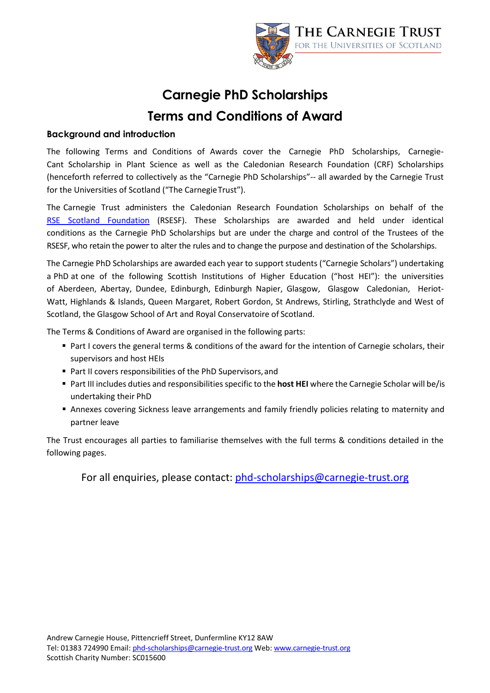

# **Carnegie PhD Scholarships Terms and Conditions of Award**

#### **Background and introduction**

The following Terms and Conditions of Awards cover the Carnegie PhD Scholarships, Carnegie-Cant Scholarship in Plant Science as well as the Caledonian Research Foundation (CRF) Scholarships (henceforth referred to collectively as the "Carnegie PhD Scholarships"-- all awarded by the Carnegie Trust for the Universities of Scotland ("The CarnegieTrust").

The Carnegie Trust administers the Caledonian Research Foundation Scholarships on behalf of the [RSE Sc](http://www.rsescotlandfoundation.org.uk/)otland Foundation (RSESF). These Scholarships are awarded and held under identical conditions as the Carnegie PhD Scholarships but are under the charge and control of the Trustees of the RSESF, who retain the power to alter the rules and to change the purpose and destination of the Scholarships.

The Carnegie PhD Scholarships are awarded each year to support students ("Carnegie Scholars") undertaking a PhD at one of the following Scottish Institutions of Higher Education ("host HEI"): the universities of Aberdeen, Abertay, Dundee, Edinburgh, Edinburgh Napier, Glasgow, Glasgow Caledonian, Heriot-Watt, Highlands & Islands, Queen Margaret, Robert Gordon, St Andrews, Stirling, Strathclyde and West of Scotland, the Glasgow School of Art and Royal Conservatoire of Scotland.

The Terms & Conditions of Award are organised in the following parts:

- Part I covers the general terms & conditions of the award for the intention of Carnegie scholars, their supervisors and host HEIs
- Part II covers responsibilities of the PhD Supervisors, and
- Part III includes duties and responsibilitiesspecific to the **host HEI** where the Carnegie Scholar will be/is undertaking their PhD
- Annexes covering Sickness leave arrangements and family friendly policies relating to maternity and partner leave

The Trust encourages all parties to familiarise themselves with the full terms & conditions detailed in the following pages.

For all enquiries, please contact: [phd-scholarships@carnegie-trust.org](mailto:phd-scholarships@carnegie-trust.org)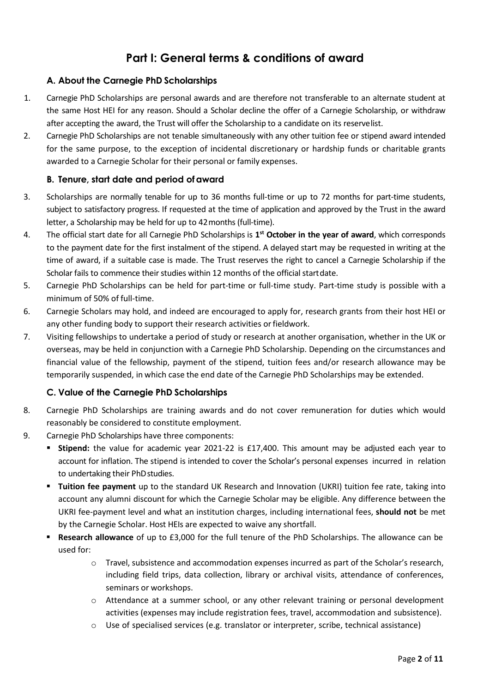### **Part I: General terms & conditions of award**

#### **A. About the Carnegie PhD Scholarships**

- 1. Carnegie PhD Scholarships are personal awards and are therefore not transferable to an alternate student at the same Host HEI for any reason. Should a Scholar decline the offer of a Carnegie Scholarship, or withdraw after accepting the award, the Trust will offer the Scholarship to a candidate on its reservelist.
- 2. Carnegie PhD Scholarships are not tenable simultaneously with any other tuition fee or stipend award intended for the same purpose, to the exception of incidental discretionary or hardship funds or charitable grants awarded to a Carnegie Scholar for their personal or family expenses.

#### **B. Tenure, start date and period ofaward**

- 3. Scholarships are normally tenable for up to 36 months full-time or up to 72 months for part-time students, subject to satisfactory progress. If requested at the time of application and approved by the Trust in the award letter, a Scholarship may be held for up to 42months (full-time).
- 4. The official start date for all Carnegie PhD Scholarships is **1st October in the year of award**, which corresponds to the payment date for the first instalment of the stipend. A delayed start may be requested in writing at the time of award, if a suitable case is made. The Trust reserves the right to cancel a Carnegie Scholarship if the Scholar fails to commence their studies within 12 months of the official startdate.
- 5. Carnegie PhD Scholarships can be held for part-time or full-time study. Part-time study is possible with a minimum of 50% of full-time.
- 6. Carnegie Scholars may hold, and indeed are encouraged to apply for, research grants from their host HEI or any other funding body to support their research activities or fieldwork.
- 7. Visiting fellowships to undertake a period of study or research at another organisation, whether in the UK or overseas, may be held in conjunction with a Carnegie PhD Scholarship. Depending on the circumstances and financial value of the fellowship, payment of the stipend, tuition fees and/or research allowance may be temporarily suspended, in which case the end date of the Carnegie PhD Scholarships may be extended.

#### **C. Value of the Carnegie PhD Scholarships**

- 8. Carnegie PhD Scholarships are training awards and do not cover remuneration for duties which would reasonably be considered to constitute employment.
- 9. Carnegie PhD Scholarships have three components:
	- **Stipend:** the value for academic year 2021-22 is £17,400. This amount may be adjusted each year to account for inflation. The stipend is intended to cover the Scholar's personal expenses incurred in relation to undertaking their PhDstudies.
	- **Tuition fee payment** up to the standard UK Research and Innovation (UKRI) tuition fee rate, taking into account any alumni discount for which the Carnegie Scholar may be eligible. Any difference between the UKRI fee-payment level and what an institution charges, including international fees, **should not** be met by the Carnegie Scholar. Host HEIs are expected to waive any shortfall.
	- **Research allowance** of up to £3,000 for the full tenure of the PhD Scholarships. The allowance can be used for:
		- o Travel, subsistence and accommodation expenses incurred as part of the Scholar's research, including field trips, data collection, library or archival visits, attendance of conferences, seminars or workshops.
		- $\circ$  Attendance at a summer school, or any other relevant training or personal development activities (expenses may include registration fees, travel, accommodation and subsistence).
		- $\circ$  Use of specialised services (e.g. translator or interpreter, scribe, technical assistance)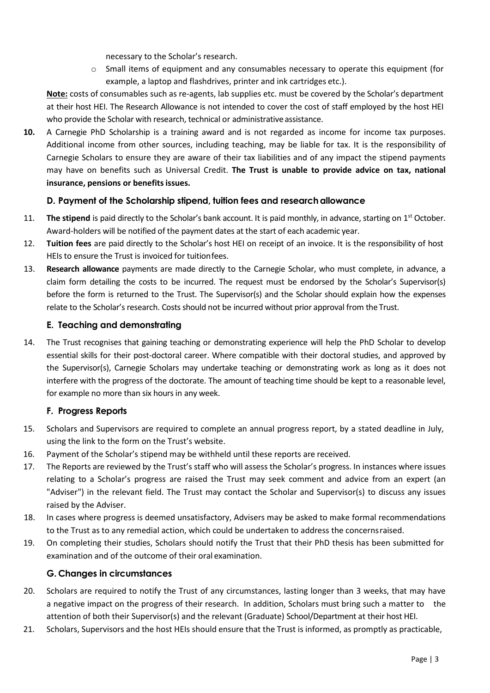necessary to the Scholar's research.

 $\circ$  Small items of equipment and any consumables necessary to operate this equipment (for example, a laptop and flashdrives, printer and ink cartridges etc.).

**Note:** costs of consumables such as re-agents, lab supplies etc. must be covered by the Scholar's department at their host HEI. The Research Allowance is not intended to cover the cost of staff employed by the host HEI who provide the Scholar with research, technical or administrative assistance.

**10.** A Carnegie PhD Scholarship is a training award and is not regarded as income for income tax purposes. Additional income from other sources, including teaching, may be liable for tax. It is the responsibility of Carnegie Scholars to ensure they are aware of their tax liabilities and of any impact the stipend payments may have on benefits such as Universal Credit. **The Trust is unable to provide advice on tax, national insurance, pensions or benefitsissues.**

#### **D. Payment of the Scholarship stipend, tuition fees and researchallowance**

- 11. **The stipend** is paid directly to the Scholar's bank account. It is paid monthly, in advance, starting on 1<sup>st</sup> October. Award-holders will be notified of the payment dates at the start of each academic year.
- 12. **Tuition fees** are paid directly to the Scholar's host HEI on receipt of an invoice. It is the responsibility of host HEIs to ensure the Trust is invoiced for tuitionfees.
- 13. **Research allowance** payments are made directly to the Carnegie Scholar, who must complete, in advance, a claim form detailing the costs to be incurred. The request must be endorsed by the Scholar's Supervisor(s) before the form is returned to the Trust. The Supervisor(s) and the Scholar should explain how the expenses relate to the Scholar's research. Costs should not be incurred without prior approval from the Trust.

#### **E. Teaching and demonstrating**

14. The Trust recognises that gaining teaching or demonstrating experience will help the PhD Scholar to develop essential skills for their post-doctoral career. Where compatible with their doctoral studies, and approved by the Supervisor(s), Carnegie Scholars may undertake teaching or demonstrating work as long as it does not interfere with the progress of the doctorate. The amount of teaching time should be kept to a reasonable level, for example no more than six hours in any week.

#### **F. Progress Reports**

- 15. Scholars and Supervisors are required to complete an annual progress report, by a stated deadline in July, using the link to the form on the Trust's website.
- 16. Payment of the Scholar's stipend may be withheld until these reports are received.
- 17. The Reports are reviewed by the Trust's staff who will assess the Scholar's progress. In instances where issues relating to a Scholar's progress are raised the Trust may seek comment and advice from an expert (an "Adviser") in the relevant field. The Trust may contact the Scholar and Supervisor(s) to discuss any issues raised by the Adviser.
- 18. In cases where progress is deemed unsatisfactory, Advisers may be asked to make formal recommendations to the Trust as to any remedial action, which could be undertaken to address the concernsraised.
- 19. On completing their studies, Scholars should notify the Trust that their PhD thesis has been submitted for examination and of the outcome of their oral examination.

#### **G. Changes in circumstances**

- 20. Scholars are required to notify the Trust of any circumstances, lasting longer than 3 weeks, that may have a negative impact on the progress of their research. In addition, Scholars must bring such a matter to the attention of both their Supervisor(s) and the relevant (Graduate) School/Department at their host HEI.
- 21. Scholars, Supervisors and the host HEIs should ensure that the Trust is informed, as promptly as practicable,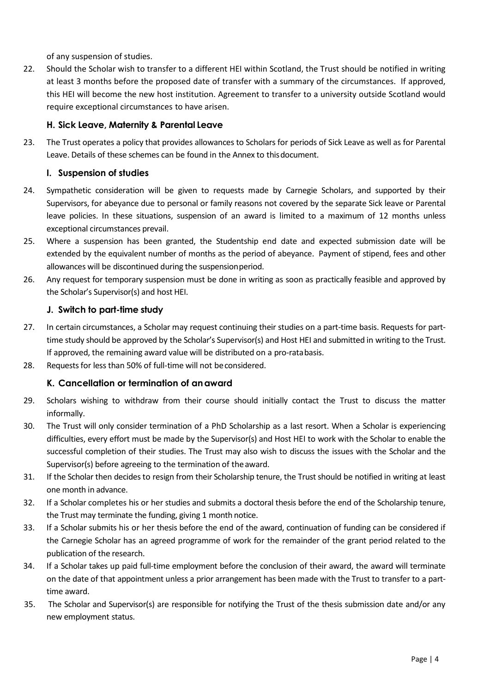of any suspension of studies.

22. Should the Scholar wish to transfer to a different HEI within Scotland, the Trust should be notified in writing at least 3 months before the proposed date of transfer with a summary of the circumstances. If approved, this HEI will become the new host institution. Agreement to transfer to a university outside Scotland would require exceptional circumstances to have arisen.

#### **H. Sick Leave, Maternity & Parental Leave**

23. The Trust operates a policy that provides allowances to Scholars for periods of Sick Leave as well as for Parental Leave. Details of these schemes can be found in the Annex to thisdocument.

#### **I. Suspension of studies**

- 24. Sympathetic consideration will be given to requests made by Carnegie Scholars, and supported by their Supervisors, for abeyance due to personal or family reasons not covered by the separate Sick leave or Parental leave policies. In these situations, suspension of an award is limited to a maximum of 12 months unless exceptional circumstances prevail.
- 25. Where a suspension has been granted, the Studentship end date and expected submission date will be extended by the equivalent number of months as the period of abeyance. Payment of stipend, fees and other allowances will be discontinued during the suspensionperiod.
- 26. Any request for temporary suspension must be done in writing as soon as practically feasible and approved by the Scholar's Supervisor(s) and host HEI.

#### **J. Switch to part-time study**

- 27. In certain circumstances, a Scholar may request continuing their studies on a part-time basis. Requests for parttime study should be approved by the Scholar's Supervisor(s) and Host HEI and submitted in writing to the Trust. If approved, the remaining award value will be distributed on a pro-ratabasis.
- 28. Requests for less than 50% of full-time will not beconsidered.

#### **K. Cancellation or termination of anaward**

- 29. Scholars wishing to withdraw from their course should initially contact the Trust to discuss the matter informally.
- 30. The Trust will only consider termination of a PhD Scholarship as a last resort. When a Scholar is experiencing difficulties, every effort must be made by the Supervisor(s) and Host HEI to work with the Scholar to enable the successful completion of their studies. The Trust may also wish to discuss the issues with the Scholar and the Supervisor(s) before agreeing to the termination of the award.
- 31. If the Scholar then decides to resign from their Scholarship tenure, the Trust should be notified in writing at least one month in advance.
- 32. If a Scholar completes his or her studies and submits a doctoral thesis before the end of the Scholarship tenure, the Trust may terminate the funding, giving 1 month notice.
- 33. If a Scholar submits his or her thesis before the end of the award, continuation of funding can be considered if the Carnegie Scholar has an agreed programme of work for the remainder of the grant period related to the publication of the research.
- 34. If a Scholar takes up paid full-time employment before the conclusion of their award, the award will terminate on the date of that appointment unless a prior arrangement has been made with the Trust to transfer to a parttime award.
- 35. The Scholar and Supervisor(s) are responsible for notifying the Trust of the thesis submission date and/or any new employment status.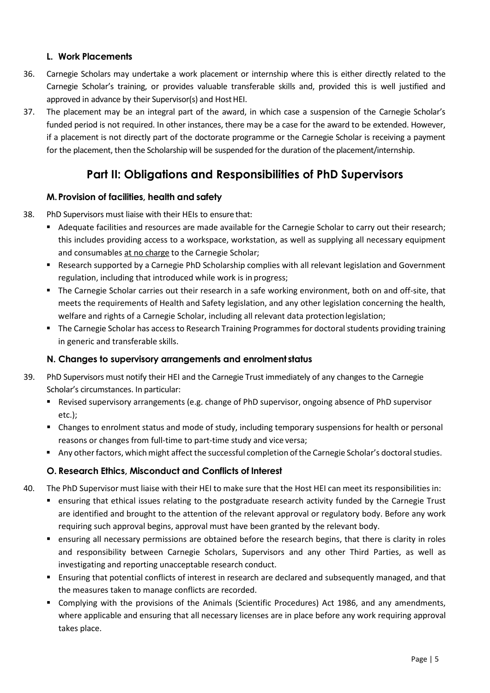#### **L. Work Placements**

- 36. Carnegie Scholars may undertake a work placement or internship where this is either directly related to the Carnegie Scholar's training, or provides valuable transferable skills and, provided this is well justified and approved in advance by their Supervisor(s) and Host HEI.
- 37. The placement may be an integral part of the award, in which case a suspension of the Carnegie Scholar's funded period is not required. In other instances, there may be a case for the award to be extended. However, if a placement is not directly part of the doctorate programme or the Carnegie Scholar is receiving a payment for the placement, then the Scholarship will be suspended for the duration of the placement/internship.

### **Part II: Obligations and Responsibilities of PhD Supervisors**

#### **M.Provision of facilities, health and safety**

- 38. PhD Supervisors must liaise with their HEIs to ensure that:
	- Adequate facilities and resources are made available for the Carnegie Scholar to carry out their research; this includes providing access to a workspace, workstation, as well as supplying all necessary equipment and consumables at no charge to the Carnegie Scholar;
	- **Research supported by a Carnegie PhD Scholarship complies with all relevant legislation and Government** regulation, including that introduced while work is in progress;
	- The Carnegie Scholar carries out their research in a safe working environment, both on and off-site, that meets the requirements of Health and Safety legislation, and any other legislation concerning the health, welfare and rights of a Carnegie Scholar, including all relevant data protection legislation;
	- " The Carnegie Scholar has access to Research Training Programmes for doctoral students providing training in generic and transferable skills.

#### **N. Changes to supervisory arrangements and enrolment status**

- 39. PhD Supervisors must notify their HEI and the Carnegie Trust immediately of any changes to the Carnegie Scholar's circumstances. In particular:
	- **•** Revised supervisory arrangements (e.g. change of PhD supervisor, ongoing absence of PhD supervisor etc.);
	- Changes to enrolment status and mode of study, including temporary suspensions for health or personal reasons or changes from full-time to part-time study and vice versa;
	- Any other factors, which might affect the successful completion of the Carnegie Scholar's doctoral studies.

#### **O. Research Ethics, Misconduct and Conflicts of Interest**

- 40. The PhD Supervisor must liaise with their HEI to make sure that the Host HEI can meet its responsibilities in:
	- ensuring that ethical issues relating to the postgraduate research activity funded by the Carnegie Trust are identified and brought to the attention of the relevant approval or regulatory body. Before any work requiring such approval begins, approval must have been granted by the relevant body.
	- ensuring all necessary permissions are obtained before the research begins, that there is clarity in roles and responsibility between Carnegie Scholars, Supervisors and any other Third Parties, as well as investigating and reporting unacceptable research conduct.
	- Ensuring that potential conflicts of interest in research are declared and subsequently managed, and that the measures taken to manage conflicts are recorded.
	- Complying with the provisions of the Animals (Scientific Procedures) Act 1986, and any amendments, where applicable and ensuring that all necessary licenses are in place before any work requiring approval takes place.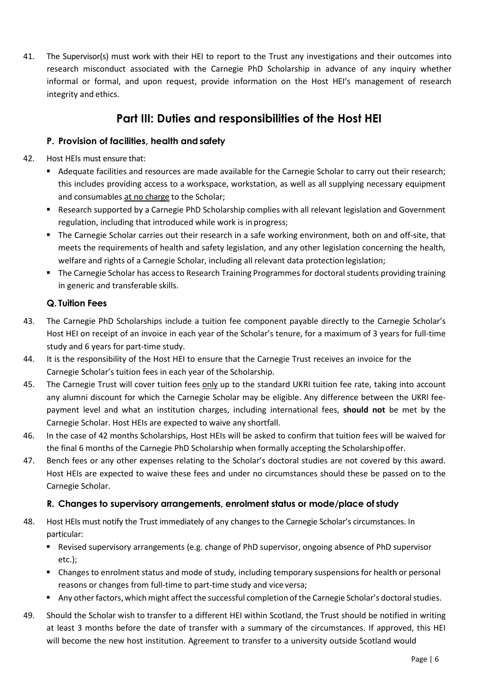41. The Supervisor(s) must work with their HEI to report to the Trust any investigations and their outcomes into research misconduct associated with the Carnegie PhD Scholarship in advance of any inquiry whether informal or formal, and upon request, provide information on the Host HEI's management of research integrity and ethics.

### **Part III: Duties and responsibilities of the Host HEI**

#### **P. Provision of facilities, health andsafety**

- 42. Host HEIs must ensure that:
	- Adequate facilities and resources are made available for the Carnegie Scholar to carry out their research; this includes providing access to a workspace, workstation, as well as all supplying necessary equipment and consumables at no charge to the Scholar;
	- Research supported by a Carnegie PhD Scholarship complies with all relevant legislation and Government regulation, including that introduced while work is in progress;
	- The Carnegie Scholar carries out their research in a safe working environment, both on and off-site, that meets the requirements of health and safety legislation, and any other legislation concerning the health, welfare and rights of a Carnegie Scholar, including all relevant data protection legislation;
	- **The Carnegie Scholar has access to Research Training Programmes for doctoral students providing training** in generic and transferable skills.

#### **Q. Tuition Fees**

- 43. The Carnegie PhD Scholarships include a tuition fee component payable directly to the Carnegie Scholar's Host HEI on receipt of an invoice in each year of the Scholar's tenure, for a maximum of 3 years for full-time study and 6 years for part-time study.
- 44. It is the responsibility of the Host HEI to ensure that the Carnegie Trust receives an invoice for the Carnegie Scholar's tuition fees in each year of the Scholarship.
- 45. The Carnegie Trust will cover tuition fees only up to the standard UKRI tuition fee rate, taking into account any alumni discount for which the Carnegie Scholar may be eligible. Any difference between the UKRI feepayment level and what an institution charges, including international fees, **should not** be met by the Carnegie Scholar. Host HEIs are expected to waive any shortfall.
- 46. In the case of 42 months Scholarships, Host HEIs will be asked to confirm that tuition fees will be waived for the final 6 months of the Carnegie PhD Scholarship when formally accepting the Scholarshipoffer.
- 47. Bench fees or any other expenses relating to the Scholar's doctoral studies are not covered by this award. Host HEIs are expected to waive these fees and under no circumstances should these be passed on to the Carnegie Scholar.

#### **R. Changes to supervisory arrangements, enrolment status or mode/place of study**

- 48. Host HEIs must notify the Trust immediately of any changes to the Carnegie Scholar's circumstances. In particular:
	- **Revised supervisory arrangements (e.g. change of PhD supervisor, ongoing absence of PhD supervisor** etc.);
	- Changes to enrolment status and mode of study, including temporary suspensions for health or personal reasons or changes from full-time to part-time study and vice versa;
	- Any other factors, which might affect the successful completion of the Carnegie Scholar's doctoral studies.
- 49. Should the Scholar wish to transfer to a different HEI within Scotland, the Trust should be notified in writing at least 3 months before the date of transfer with a summary of the circumstances. If approved, this HEI will become the new host institution. Agreement to transfer to a university outside Scotland would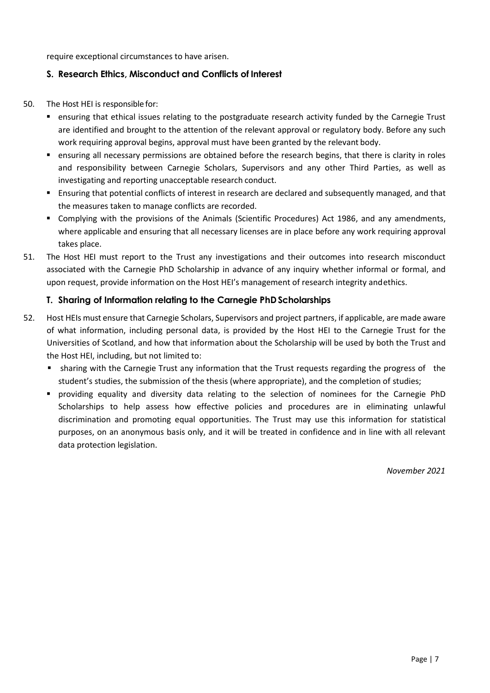require exceptional circumstances to have arisen.

#### **S. Research Ethics, Misconduct and Conflicts of Interest**

- 50. The Host HEI is responsible for:
	- ensuring that ethical issues relating to the postgraduate research activity funded by the Carnegie Trust are identified and brought to the attention of the relevant approval or regulatory body. Before any such work requiring approval begins, approval must have been granted by the relevant body.
	- ensuring all necessary permissions are obtained before the research begins, that there is clarity in roles and responsibility between Carnegie Scholars, Supervisors and any other Third Parties, as well as investigating and reporting unacceptable research conduct.
	- Ensuring that potential conflicts of interest in research are declared and subsequently managed, and that the measures taken to manage conflicts are recorded.
	- Complying with the provisions of the Animals (Scientific Procedures) Act 1986, and any amendments, where applicable and ensuring that all necessary licenses are in place before any work requiring approval takes place.
- 51. The Host HEI must report to the Trust any investigations and their outcomes into research misconduct associated with the Carnegie PhD Scholarship in advance of any inquiry whether informal or formal, and upon request, provide information on the Host HEI's management of research integrity andethics.

#### **T. Sharing of Information relating to the Carnegie PhDScholarships**

- 52. Host HEIs must ensure that Carnegie Scholars, Supervisors and project partners, if applicable, are made aware of what information, including personal data, is provided by the Host HEI to the Carnegie Trust for the Universities of Scotland, and how that information about the Scholarship will be used by both the Trust and the Host HEI, including, but not limited to:
	- **sharing with the Carnegie Trust any information that the Trust requests regarding the progress of the** student's studies, the submission of the thesis (where appropriate), and the completion of studies;
	- providing equality and diversity data relating to the selection of nominees for the Carnegie PhD Scholarships to help assess how effective policies and procedures are in eliminating unlawful discrimination and promoting equal opportunities. The Trust may use this information for statistical purposes, on an anonymous basis only, and it will be treated in confidence and in line with all relevant data protection legislation.

*November 2021*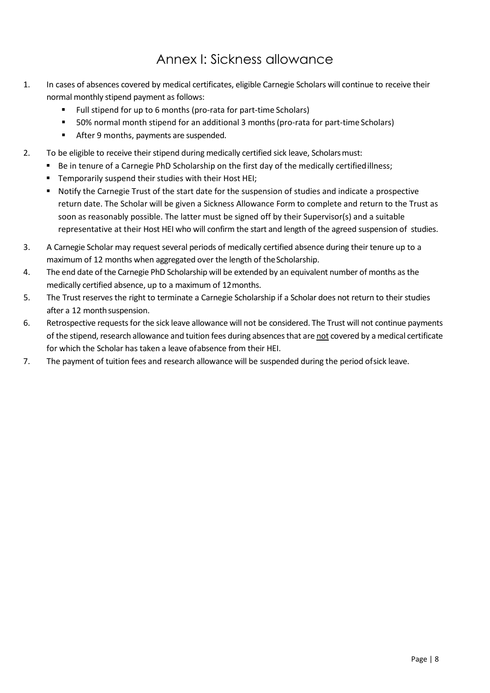## Annex I: Sickness allowance

- 1. In cases of absences covered by medical certificates, eligible Carnegie Scholars will continue to receive their normal monthly stipend payment as follows:
	- Full stipend for up to 6 months (pro-rata for part-time Scholars)
	- 50% normal month stipend for an additional 3 months (pro-rata for part-time Scholars)
	- **After 9 months, payments are suspended.**
- 2. To be eligible to receive their stipend during medically certified sick leave, Scholarsmust:
	- Be in tenure of a Carnegie PhD Scholarship on the first day of the medically certified illness;
	- **Temporarily suspend their studies with their Host HEI;**
	- Notify the Carnegie Trust of the start date for the suspension of studies and indicate a prospective return date. The Scholar will be given a Sickness Allowance Form to complete and return to the Trust as soon as reasonably possible. The latter must be signed off by their Supervisor(s) and a suitable representative at their Host HEI who will confirm the start and length of the agreed suspension of studies.
- 3. A Carnegie Scholar may request several periods of medically certified absence during their tenure up to a maximum of 12 months when aggregated over the length of the Scholarship.
- 4. The end date of the Carnegie PhD Scholarship will be extended by an equivalent number of months as the medically certified absence, up to a maximum of 12months.
- 5. The Trust reserves the right to terminate a Carnegie Scholarship if a Scholar does not return to their studies after a 12 month suspension.
- 6. Retrospective requests for the sick leave allowance will not be considered. The Trust will not continue payments of the stipend, research allowance and tuition fees during absences that are not covered by a medical certificate for which the Scholar has taken a leave ofabsence from their HEI.
- 7. The payment of tuition fees and research allowance will be suspended during the period ofsick leave.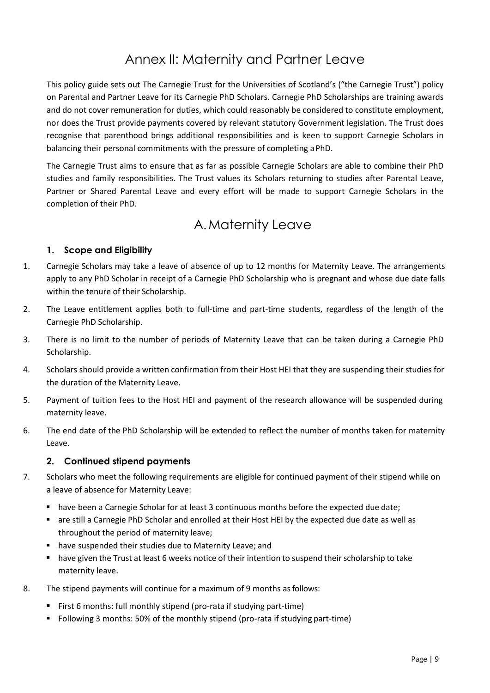## Annex II: Maternity and Partner Leave

This policy guide sets out The Carnegie Trust for the Universities of Scotland's ("the Carnegie Trust") policy on Parental and Partner Leave for its Carnegie PhD Scholars. Carnegie PhD Scholarships are training awards and do not cover remuneration for duties, which could reasonably be considered to constitute employment, nor does the Trust provide payments covered by relevant statutory Government legislation. The Trust does recognise that parenthood brings additional responsibilities and is keen to support Carnegie Scholars in balancing their personal commitments with the pressure of completing aPhD.

The Carnegie Trust aims to ensure that as far as possible Carnegie Scholars are able to combine their PhD studies and family responsibilities. The Trust values its Scholars returning to studies after Parental Leave, Partner or Shared Parental Leave and every effort will be made to support Carnegie Scholars in the completion of their PhD.

### A.Maternity Leave

#### **1. Scope and Eligibility**

- 1. Carnegie Scholars may take a leave of absence of up to 12 months for Maternity Leave. The arrangements apply to any PhD Scholar in receipt of a Carnegie PhD Scholarship who is pregnant and whose due date falls within the tenure of their Scholarship.
- 2. The Leave entitlement applies both to full-time and part-time students, regardless of the length of the Carnegie PhD Scholarship.
- 3. There is no limit to the number of periods of Maternity Leave that can be taken during a Carnegie PhD Scholarship.
- 4. Scholars should provide a written confirmation from their Host HEI that they are suspending their studies for the duration of the Maternity Leave.
- 5. Payment of tuition fees to the Host HEI and payment of the research allowance will be suspended during maternity leave.
- 6. The end date of the PhD Scholarship will be extended to reflect the number of months taken for maternity Leave.

#### **2. Continued stipend payments**

- 7. Scholars who meet the following requirements are eligible for continued payment of their stipend while on a leave of absence for Maternity Leave:
	- **have been a Carnegie Scholar for at least 3 continuous months before the expected due date;**
	- are still a Carnegie PhD Scholar and enrolled at their Host HEI by the expected due date as well as throughout the period of maternity leave;
	- **•** have suspended their studies due to Maternity Leave; and
	- **have given the Trust at least 6 weeks notice of their intention to suspend their scholarship to take** maternity leave.
- 8. The stipend payments will continue for a maximum of 9 months as follows:
	- First 6 months: full monthly stipend (pro-rata if studying part-time)
	- Following 3 months: 50% of the monthly stipend (pro-rata if studying part-time)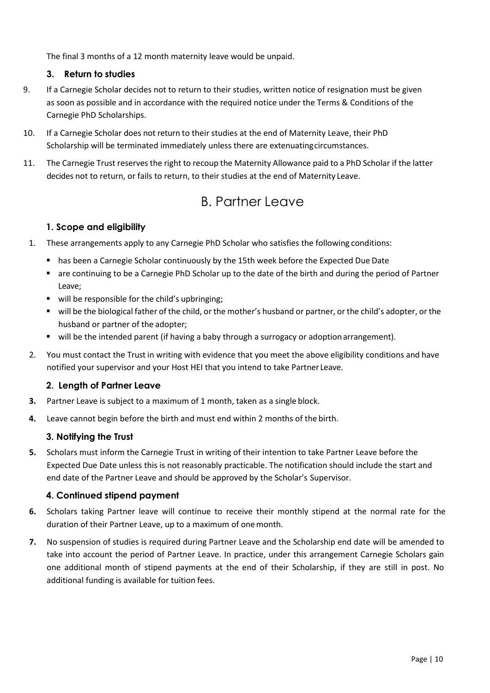The final 3 months of a 12 month maternity leave would be unpaid.

#### **3. Return to studies**

- 9. If a Carnegie Scholar decides not to return to their studies, written notice of resignation must be given as soon as possible and in accordance with the required notice under the Terms & Conditions of the Carnegie PhD Scholarships.
- 10. If a Carnegie Scholar does not return to their studies at the end of Maternity Leave, their PhD Scholarship will be terminated immediately unless there are extenuatingcircumstances.
- 11. The Carnegie Trust reserves the right to recoup the Maternity Allowance paid to a PhD Scholar if the latter decides not to return, or fails to return, to their studies at the end of Maternity Leave.

### B. Partner Leave

#### **1. Scope and eligibility**

- 1. These arrangements apply to any Carnegie PhD Scholar who satisfies the following conditions:
	- **has been a Carnegie Scholar continuously by the 15th week before the Expected Due Date**
	- are continuing to be a Carnegie PhD Scholar up to the date of the birth and during the period of Partner Leave;
	- will be responsible for the child's upbringing;
	- will be the biological father of the child, or the mother's husband or partner, or the child's adopter, or the husband or partner of the adopter;
	- will be the intended parent (if having a baby through a surrogacy or adoption arrangement).
- 2. You must contact the Trust in writing with evidence that you meet the above eligibility conditions and have notified your supervisor and your Host HEI that you intend to take Partner Leave.

#### **2. Length of Partner Leave**

- **3.** Partner Leave is subject to a maximum of 1 month, taken as a single block.
- **4.** Leave cannot begin before the birth and must end within 2 months of the birth.

#### **3. Notifying the Trust**

**5.** Scholars must inform the Carnegie Trust in writing of their intention to take Partner Leave before the Expected Due Date unless this is not reasonably practicable. The notification should include the start and end date of the Partner Leave and should be approved by the Scholar's Supervisor.

#### **4. Continued stipend payment**

- **6.** Scholars taking Partner leave will continue to receive their monthly stipend at the normal rate for the duration of their Partner Leave, up to a maximum of onemonth.
- **7.** No suspension of studies is required during Partner Leave and the Scholarship end date will be amended to take into account the period of Partner Leave. In practice, under this arrangement Carnegie Scholars gain one additional month of stipend payments at the end of their Scholarship, if they are still in post. No additional funding is available for tuition fees.